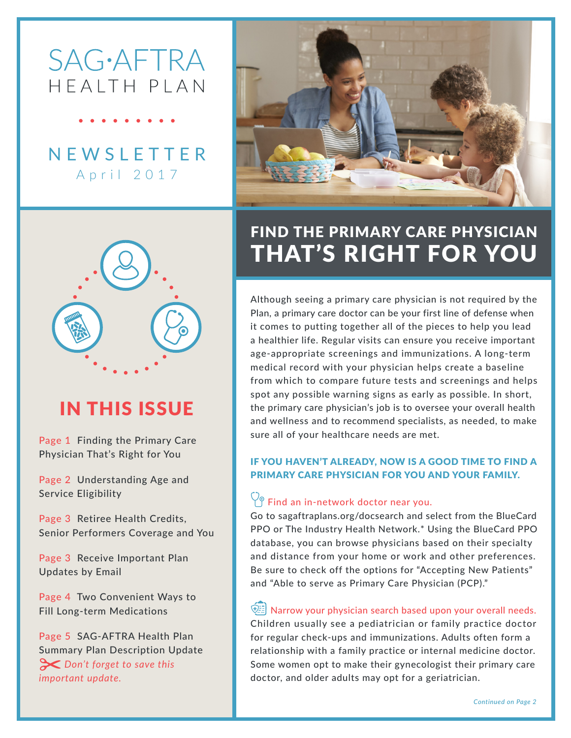# **SAG**·AFTRA HFAITH PIAN

**NEWSLETTER** April 2017





# IN THIS ISSUE

Page 1 Finding the Primary Care Physician That's Right for You

Page 2 Understanding Age and Service Eligibility

Page 3 Retiree Health Credits, Senior Performers Coverage and You

Page 3 Receive Important Plan Updates by Email

Page 4 Two Convenient Ways to Fill Long-term Medications

Page 5 SAG-AFTRA Health Plan Summary Plan Description Update  *Don't forget to save this important update.*

## FIND THE PRIMARY CARE PHYSICIAN THAT'S RIGHT FOR YOU

Although seeing a primary care physician is not required by the Plan, a primary care doctor can be your first line of defense when it comes to putting together all of the pieces to help you lead a healthier life. Regular visits can ensure you receive important age-appropriate screenings and immunizations. A long-term medical record with your physician helps create a baseline from which to compare future tests and screenings and helps spot any possible warning signs as early as possible. In short, the primary care physician's job is to oversee your overall health and wellness and to recommend specialists, as needed, to make sure all of your healthcare needs are met.

### IF YOU HAVEN'T ALREADY, NOW IS A GOOD TIME TO FIND A PRIMARY CARE PHYSICIAN FOR YOU AND YOUR FAMILY.

### $\bigcirc$  Find an in-network doctor near you.

Go to sagaftraplans.org/docsearch and select from the BlueCard PPO or The Industry Health Network.\* Using the BlueCard PPO database, you can browse physicians based on their specialty and distance from your home or work and other preferences. Be sure to check off the options for "Accepting New Patients" and "Able to serve as Primary Care Physician (PCP)."

 $\circled{2}$  Narrow your physician search based upon your overall needs. Children usually see a pediatrician or family practice doctor for regular check-ups and immunizations. Adults often form a relationship with a family practice or internal medicine doctor. Some women opt to make their gynecologist their primary care doctor, and older adults may opt for a geriatrician.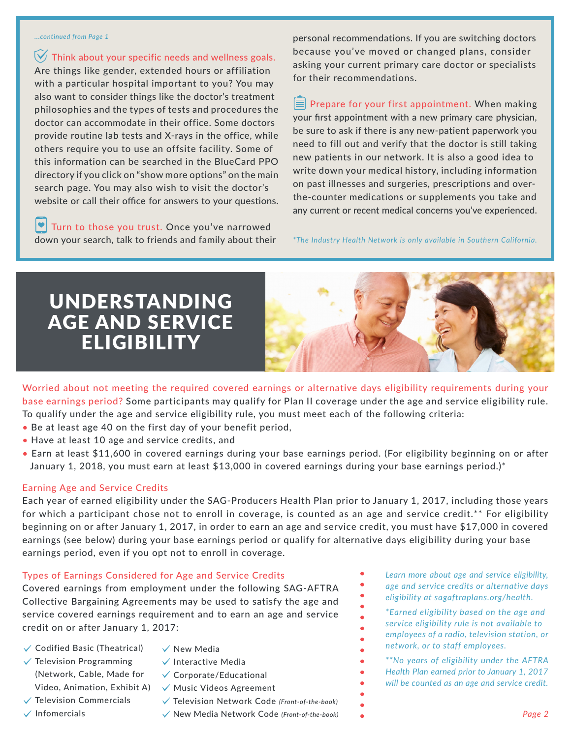#### *...continued from Page 1*

 $\forall$  Think about your specific needs and wellness goals. Are things like gender, extended hours or affiliation with a particular hospital important to you? You may also want to consider things like the doctor's treatment philosophies and the types of tests and procedures the doctor can accommodate in their office. Some doctors provide routine lab tests and X-rays in the office, while others require you to use an offsite facility. Some of this information can be searched in the BlueCard PPO directory if you click on "show more options" on the main search page. You may also wish to visit the doctor's website or call their office for answers to your questions.

 $\left| \bullet \right|$  Turn to those you trust. Once you've narrowed down your search, talk to friends and family about their personal recommendations. If you are switching doctors because you've moved or changed plans, consider asking your current primary care doctor or specialists for their recommendations.

 $\equiv$  Prepare for your first appointment. When making your first appointment with a new primary care physician, be sure to ask if there is any new-patient paperwork you need to fill out and verify that the doctor is still taking new patients in our network. It is also a good idea to write down your medical history, including information on past illnesses and surgeries, prescriptions and overthe-counter medications or supplements you take and any current or recent medical concerns you've experienced.

*\*The Industry Health Network is only available in Southern California.*

## UNDERSTANDING AGE AND SERVICE **ELIGIBILITY**



Worried about not meeting the required covered earnings or alternative days eligibility requirements during your base earnings period? Some participants may qualify for Plan II coverage under the age and service eligibility rule. To qualify under the age and service eligibility rule, you must meet each of the following criteria:

- Be at least age 40 on the first day of your benefit period,
- Have at least 10 age and service credits, and
- Earn at least \$11,600 in covered earnings during your base earnings period. (For eligibility beginning on or after January 1, 2018, you must earn at least \$13,000 in covered earnings during your base earnings period.)\*

### Earning Age and Service Credits

Each year of earned eligibility under the SAG-Producers Health Plan prior to January 1, 2017, including those years for which a participant chose not to enroll in coverage, is counted as an age and service credit.\*\* For eligibility beginning on or after January 1, 2017, in order to earn an age and service credit, you must have \$17,000 in covered earnings (see below) during your base earnings period or qualify for alternative days eligibility during your base earnings period, even if you opt not to enroll in coverage.

### Types of Earnings Considered for Age and Service Credits

Covered earnings from employment under the following SAG-AFTRA Collective Bargaining Agreements may be used to satisfy the age and service covered earnings requirement and to earn an age and service credit on or after January 1, 2017:

- $\checkmark$  Codified Basic (Theatrical)  $\checkmark$  Television Programming (Network, Cable, Made for
- $\checkmark$  New Media
- $\checkmark$  Interactive Media
	- $\checkmark$  Corporate/Educational
- Video, Animation, Exhibit A)  $\sqrt{\phantom{a}}$  Music Videos Agreement
- $\checkmark$  Television Commercials
- $\checkmark$  Infomercials
- Television Network Code *(Front-of-the-book)*
- New Media Network Code *(Front-of-the-book)*
- *Learn more about age and service eligibility, age and service credits or alternative days eligibility at sagaftraplans.org/health.*
- *\*Earned eligibility based on the age and service eligibility rule is not available to employees of a radio, television station, or network, or to staff employees.*

*\*\*No years of eligibility under the AFTRA Health Plan earned prior to January 1, 2017 will be counted as an age and service credit.*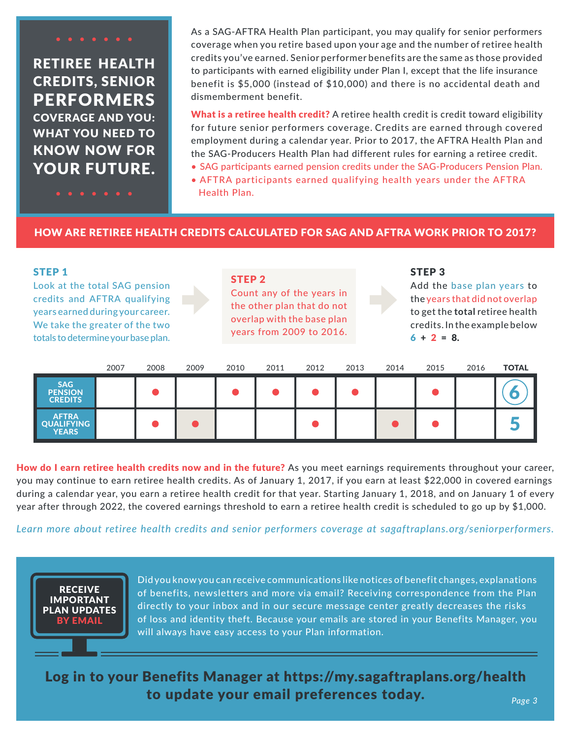### RETIREE HEALTH CREDITS, SENIOR PERFORMERS COVERAGE AND YOU: WHAT YOU NEED TO KNOW NOW FOR YOUR FUTURE.

As a SAG-AFTRA Health Plan participant, you may qualify for senior performers coverage when you retire based upon your age and the number of retiree health credits you've earned. Senior performer benefits are the same as those provided to participants with earned eligibility under Plan I, except that the life insurance benefit is \$5,000 (instead of \$10,000) and there is no accidental death and dismemberment benefit.

What is a retiree health credit? A retiree health credit is credit toward eligibility for future senior performers coverage. Credits are earned through covered employment during a calendar year. Prior to 2017, the AFTRA Health Plan and the SAG-Producers Health Plan had different rules for earning a retiree credit.

- SAG participants earned pension credits under the SAG-Producers Pension Plan.
- AFTRA participants earned qualifying health years under the AFTRA Health Plan.

### HOW ARE RETIREE HEALTH CREDITS CALCULATED FOR SAG AND AFTRA WORK PRIOR TO 2017?

| <b>STEP 1</b><br>Look at the total SAG pension<br>credits and AFTRA qualifying<br>years earned during your career.<br>We take the greater of the two<br>totals to determine your base plan. |      | <b>STEP 2</b><br>Count any of the years in<br>the other plan that do not<br>overlap with the base plan<br>years from 2009 to 2016. |      |      |      | STEP <sub>3</sub><br>Add the base plan years to<br>the years that did not overlap<br>to get the total retiree health<br>credits. In the example below<br>$6 + 2 = 8$ . |      |      |      |      |              |
|---------------------------------------------------------------------------------------------------------------------------------------------------------------------------------------------|------|------------------------------------------------------------------------------------------------------------------------------------|------|------|------|------------------------------------------------------------------------------------------------------------------------------------------------------------------------|------|------|------|------|--------------|
|                                                                                                                                                                                             | 2007 | 2008                                                                                                                               | 2009 | 2010 | 2011 | 2012                                                                                                                                                                   | 2013 | 2014 | 2015 | 2016 | <b>TOTAL</b> |
| <b>SAG</b><br><b>PENSION</b><br><b>CREDITS</b>                                                                                                                                              |      |                                                                                                                                    |      |      |      |                                                                                                                                                                        |      |      |      |      |              |
| <b>AFTRA</b><br><b>OUALIFYING</b><br><b>YEARS</b>                                                                                                                                           |      |                                                                                                                                    |      |      |      |                                                                                                                                                                        |      |      |      |      |              |

How do I earn retiree health credits now and in the future? As you meet earnings requirements throughout your career, you may continue to earn retiree health credits. As of January 1, 2017, if you earn at least \$22,000 in covered earnings during a calendar year, you earn a retiree health credit for that year. Starting January 1, 2018, and on January 1 of every year after through 2022, the covered earnings threshold to earn a retiree health credit is scheduled to go up by \$1,000.

### *Learn more about retiree health credits and senior performers coverage at sagaftraplans.org/seniorperformers.*



Did you know you can receive communications like notices of benefit changes, explanations of benefits, newsletters and more via email? Receiving correspondence from the Plan directly to your inbox and in our secure message center greatly decreases the risks of loss and identity theft. Because your emails are stored in your Benefits Manager, you will always have easy access to your Plan information.

Log in to your Benefits Manager at https://my.sagaftraplans.org/health to update your email preferences today. *Page 3*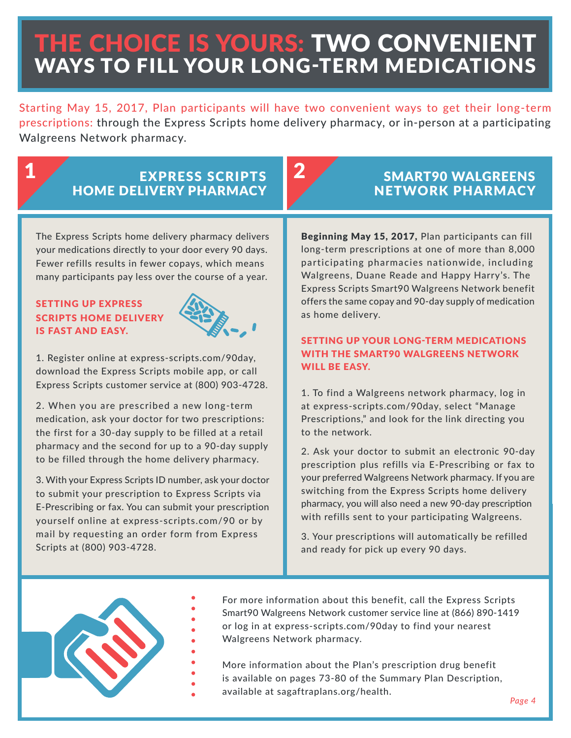# THE CHOICE IS YOURS: TWO CONVENIENT WAYS TO FILL YOUR LONG-TERM MEDICATIONS

Starting May 15, 2017, Plan participants will have two convenient ways to get their long-term prescriptions: through the Express Scripts home delivery pharmacy, or in-person at a participating Walgreens Network pharmacy.

### 1 EXPRESS SCRIPTS 2 HOME DELIVERY PHARMACY

The Express Scripts home delivery pharmacy delivers your medications directly to your door every 90 days. Fewer refills results in fewer copays, which means many participants pay less over the course of a year.

### SETTING UP EXPRESS SCRIPTS HOME DELIVERY IS FAST AND EASY.



1. Register online at express-scripts.com/90day, download the Express Scripts mobile app, or call Express Scripts customer service at (800) 903-4728.

2. When you are prescribed a new long-term medication, ask your doctor for two prescriptions: the first for a 30-day supply to be filled at a retail pharmacy and the second for up to a 90-day supply to be filled through the home delivery pharmacy.

3. With your Express Scripts ID number, ask your doctor to submit your prescription to Express Scripts via E-Prescribing or fax. You can submit your prescription yourself online at express-scripts.com/90 or by mail by requesting an order form from Express Scripts at (800) 903-4728.

### SMART90 WALGREENS NETWORK PHARMACY

Beginning May 15, 2017, Plan participants can fill long-term prescriptions at one of more than 8,000 participating pharmacies nationwide, including Walgreens, Duane Reade and Happy Harry's. The Express Scripts Smart90 Walgreens Network benefit offers the same copay and 90-day supply of medication as home delivery.

### SETTING UP YOUR LONG-TERM MEDICATIONS WITH THE SMART90 WALGREENS NETWORK WILL BE EASY.

1. To find a Walgreens network pharmacy, log in at express-scripts.com/90day, select "Manage Prescriptions," and look for the link directing you to the network.

2. Ask your doctor to submit an electronic 90-day prescription plus refills via E-Prescribing or fax to your preferred Walgreens Network pharmacy. If you are switching from the Express Scripts home delivery pharmacy, you will also need a new 90-day prescription with refills sent to your participating Walgreens.

3. Your prescriptions will automatically be refilled and ready for pick up every 90 days.



For more information about this benefit, call the Express Scripts Smart90 Walgreens Network customer service line at (866) 890-1419 or log in at express-scripts.com/90day to find your nearest Walgreens Network pharmacy.

More information about the Plan's prescription drug benefit is available on pages 73-80 of the Summary Plan Description, available at sagaftraplans.org/health.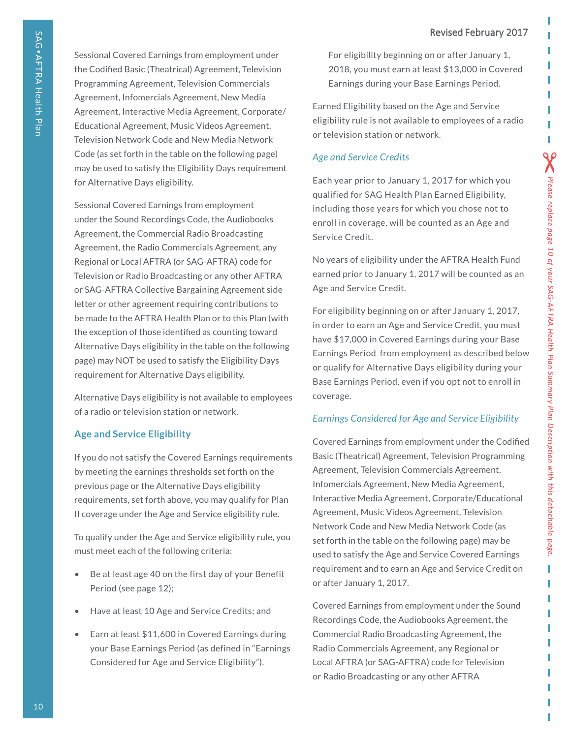Sessional Covered Earnings from employment under the Codified Basic (Theatrical) Agreement, Television Programming Agreement, Television Commercials Agreement, Infomercials Agreement, New Media Agreement, Interactive Media Agreement, Corporate/ Educational Agreement, Music Videos Agreement, Television Network Code and New Media Network Code (as set forth in the table on the following page) may be used to satisfy the Eligibility Days requirement for Alternative Days eligibility.

Sessional Covered Earnings from employment under the Sound Recordings Code, the Audiobooks Agreement, the Commercial Radio Broadcasting Agreement, the Radio Commercials Agreement, any Regional or Local AFTRA (or SAG-AFTRA) code for Television or Radio Broadcasting or any other AFTRA or SAG-AFTRA Collective Bargaining Agreement side letter or other agreement requiring contributions to be made to the AFTRA Health Plan or to this Plan (with the exception of those identified as counting toward Alternative Days eligibility in the table on the following page) may NOT be used to satisfy the Eligibility Days requirement for Alternative Days eligibility.

Alternative Days eligibility is not available to employees of a radio or television station or network.

### **Age and Service Eligibility**

If you do not satisfy the Covered Earnings requirements by meeting the earnings thresholds set forth on the previous page or the Alternative Days eligibility requirements, set forth above, you may qualify for Plan II coverage under the Age and Service eligibility rule.

To qualify under the Age and Service eligibility rule, you must meet each of the following criteria:

- Be at least age 40 on the first day of your Benefit Period (see page 12);
- Have at least 10 Age and Service Credits; and
- Earn at least \$11,600 in Covered Earnings during your Base Earnings Period (as defined in "Earnings Considered for Age and Service Eligibility").

For eligibility beginning on or after January 1, 2018, you must earn at least \$13,000 in Covered Earnings during your Base Earnings Period.

Earned Eligibility based on the Age and Service eligibility rule is not available to employees of a radio or television station or network.

### *Age and Service Credits*

Each year prior to January 1, 2017 for which you qualified for SAG Health Plan Earned Eligibility, including those years for which you chose not to enroll in coverage, will be counted as an Age and Service Credit.

No years of eligibility under the AFTRA Health Fund earned prior to January 1, 2017 will be counted as an Age and Service Credit.

For eligibility beginning on or after January 1, 2017, in order to earn an Age and Service Credit, you must have \$17,000 in Covered Earnings during your Base Earnings Period from employment as described below or qualify for Alternative Days eligibility during your Base Earnings Period, even if you opt not to enroll in coverage.

*Please replace page 10 of your SAG-AFTRA Health Plan Summary Plan Description with this detachable page.*

L ı

 $\sum$  Please replace page 10 of your SAG-AFTRA Health Plan Summary Plan Description with this detachable page.

### *Earnings Considered for Age and Service Eligibility*

Covered Earnings from employment under the Codified Basic (Theatrical) Agreement, Television Programming Agreement, Television Commercials Agreement, Infomercials Agreement, New Media Agreement, Interactive Media Agreement, Corporate/Educational Agreement, Music Videos Agreement, Television Network Code and New Media Network Code (as set forth in the table on the following page) may be used to satisfy the Age and Service Covered Earnings requirement and to earn an Age and Service Credit on or after January 1, 2017.

Covered Earnings from employment under the Sound Recordings Code, the Audiobooks Agreement, the Commercial Radio Broadcasting Agreement, the Radio Commercials Agreement, any Regional or Local AFTRA (or SAG-AFTRA) code for Television or Radio Broadcasting or any other AFTRA